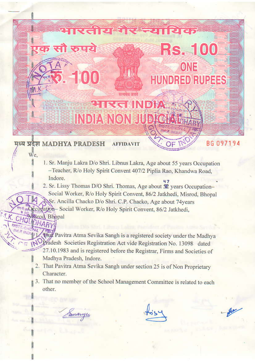## **INDIA NON JU Civit, per year**

<u>:।एतीय गैं।</u>

reto

मध्य प्रदेश MADHYA PRADESH **AFFIDAVIT** 

We.

**Misrod**, Bhopal

एक सौ रुपये

1. Sr. Manju Lakra D/o Shri. Libnus Lakra, Age about 55 years Occupation -Teacher, R/o Holy Spirit Convent 407/2 Piplia Rao, Khandwa Road, Indore.

A A

**Rs. 100** 

ONE

**HUNDRED RUPEES** 

2. Sr. Lissy Thomas D/O Shri. Thomas, Age about  $\mathbb{Z}$  years Occupation-Social Worker, R/o Holy Spirit Convent, 86/2 Jatkhedi, Misrod, Bhopal S. Sr. Ancilla Chacko D/o Shri. C.P. Chacko, Age about 74years

of the Occupation-Social Worker, R/o Holy Spirit Convent, 86/2 Jatkhedi,

that Pavitra Atma Sevika Sangh is a registered society under the Madhya Pradesh Societies Registration Act vide Registration No. 13098 dated 27.10.1983 and is registered before the Registrar, Firms and Societies of Madhya Pradesh, Indore.

- 2. That Pavitra Atma Sevika Sangh under section 25 is of Non Proprietary Character.
- 3. That no member of the School Management Committee is related to each other.

Smaryer

se

BG 097194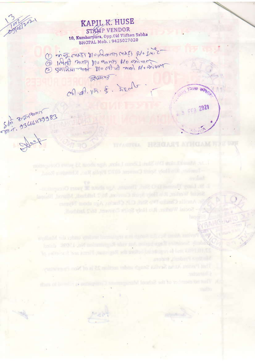## **KAPIL K. HUSE** STAMP VENDOR 10, Kumharpura, Opp.Old Vidhan Sabha **BHOPAL Mob.: 9425027020**

1 mit CHAST DIOINGATIONAST R/0 S.M.C. a IArt mort no anno 10 minuto

Zuany. col of. VIA. &. heal

standing the Division and Share Age shout 2, years of the Octonsky

Worker, Ric Holy Spirit Court an Soil Infinited Manual, Nin

with Atlant Serika Stundy under metion 25 is of Non-Properties.

special wall for read

D St. Liney Thomas D.O. Shel, Thorsan, Age theori R. years Occupa

Ancilla Checke The Start Checker Aire about 7-types

Shi 3,249mm

जिला कर

EER 2021